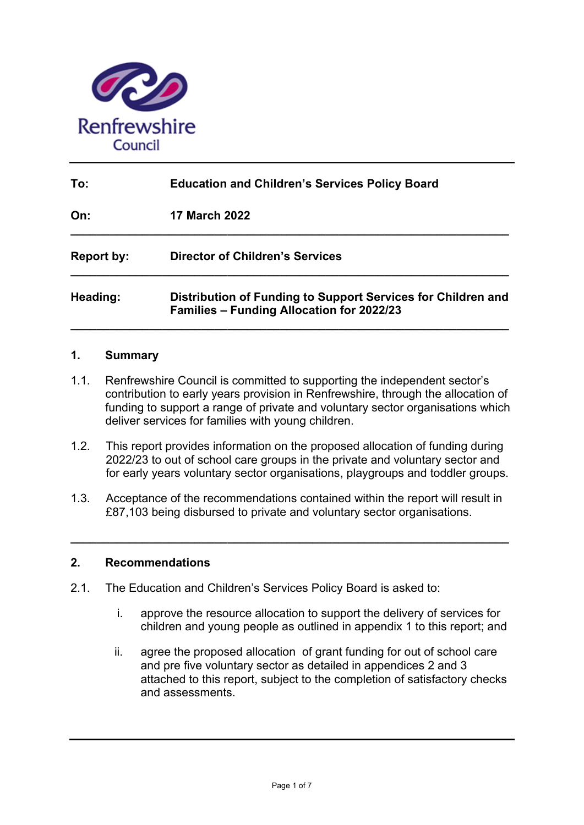

| To:               | <b>Education and Children's Services Policy Board</b>                                                            |  |  |  |  |  |  |  |
|-------------------|------------------------------------------------------------------------------------------------------------------|--|--|--|--|--|--|--|
| On:               | <b>17 March 2022</b>                                                                                             |  |  |  |  |  |  |  |
| <b>Report by:</b> | <b>Director of Children's Services</b>                                                                           |  |  |  |  |  |  |  |
| Heading:          | Distribution of Funding to Support Services for Children and<br><b>Families - Funding Allocation for 2022/23</b> |  |  |  |  |  |  |  |

#### **1. Summary**

- 1.1. Renfrewshire Council is committed to supporting the independent sector's contribution to early years provision in Renfrewshire, through the allocation of funding to support a range of private and voluntary sector organisations which deliver services for families with young children.
- 1.2. This report provides information on the proposed allocation of funding during 2022/23 to out of school care groups in the private and voluntary sector and for early years voluntary sector organisations, playgroups and toddler groups.
- 1.3. Acceptance of the recommendations contained within the report will result in £87,103 being disbursed to private and voluntary sector organisations.

**\_\_\_\_\_\_\_\_\_\_\_\_\_\_\_\_\_\_\_\_\_\_\_\_\_\_\_\_\_\_\_\_\_\_\_\_\_\_\_\_\_\_\_\_\_\_\_\_\_\_\_\_\_\_\_\_\_\_\_\_\_\_\_\_\_\_\_** 

#### **2. Recommendations**

- 2.1. The Education and Children's Services Policy Board is asked to:
	- i. approve the resource allocation to support the delivery of services for children and young people as outlined in appendix 1 to this report; and
	- ii. agree the proposed allocation of grant funding for out of school care and pre five voluntary sector as detailed in appendices 2 and 3 attached to this report, subject to the completion of satisfactory checks and assessments.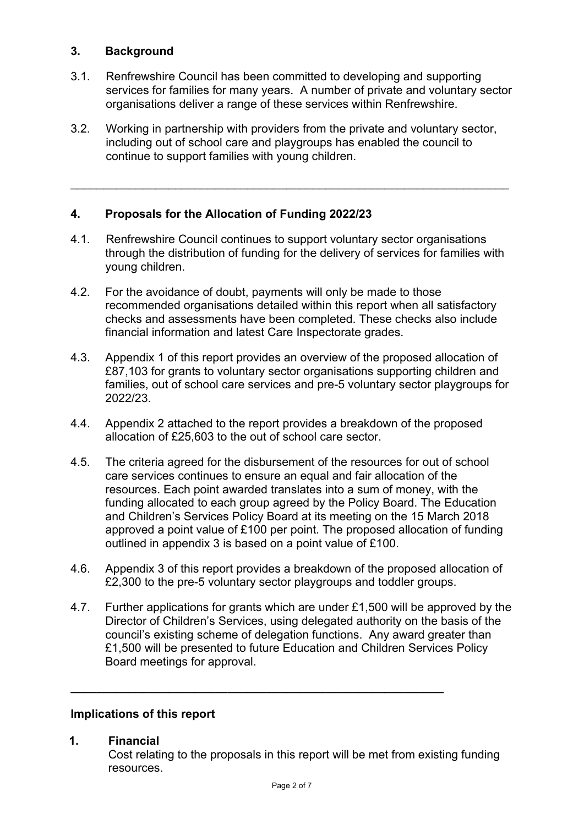### **3. Background**

- 3.1. Renfrewshire Council has been committed to developing and supporting services for families for many years. A number of private and voluntary sector organisations deliver a range of these services within Renfrewshire.
- 3.2. Working in partnership with providers from the private and voluntary sector, including out of school care and playgroups has enabled the council to continue to support families with young children.

 $\_$  , and the contribution of the contribution of  $\mathcal{L}_\mathcal{A}$  , and the contribution of  $\mathcal{L}_\mathcal{A}$ 

## **4. Proposals for the Allocation of Funding 2022/23**

- 4.1. Renfrewshire Council continues to support voluntary sector organisations through the distribution of funding for the delivery of services for families with young children.
- 4.2. For the avoidance of doubt, payments will only be made to those recommended organisations detailed within this report when all satisfactory checks and assessments have been completed. These checks also include financial information and latest Care Inspectorate grades.
- 4.3. Appendix 1 of this report provides an overview of the proposed allocation of £87,103 for grants to voluntary sector organisations supporting children and families, out of school care services and pre-5 voluntary sector playgroups for 2022/23.
- 4.4. Appendix 2 attached to the report provides a breakdown of the proposed allocation of £25,603 to the out of school care sector.
- 4.5. The criteria agreed for the disbursement of the resources for out of school care services continues to ensure an equal and fair allocation of the resources. Each point awarded translates into a sum of money, with the funding allocated to each group agreed by the Policy Board. The Education and Children's Services Policy Board at its meeting on the 15 March 2018 approved a point value of £100 per point. The proposed allocation of funding outlined in appendix 3 is based on a point value of £100.
- 4.6. Appendix 3 of this report provides a breakdown of the proposed allocation of £2,300 to the pre-5 voluntary sector playgroups and toddler groups.
- 4.7. Further applications for grants which are under £1,500 will be approved by the Director of Children's Services, using delegated authority on the basis of the council's existing scheme of delegation functions. Any award greater than £1,500 will be presented to future Education and Children Services Policy Board meetings for approval.

**\_\_\_\_\_\_\_\_\_\_\_\_\_\_\_\_\_\_\_\_\_\_\_\_\_\_\_\_\_\_\_\_\_\_\_\_\_\_\_\_\_\_\_\_\_\_\_\_\_\_\_\_\_\_\_\_\_** 

#### **Implications of this report**

#### **1. Financial**

Cost relating to the proposals in this report will be met from existing funding resources.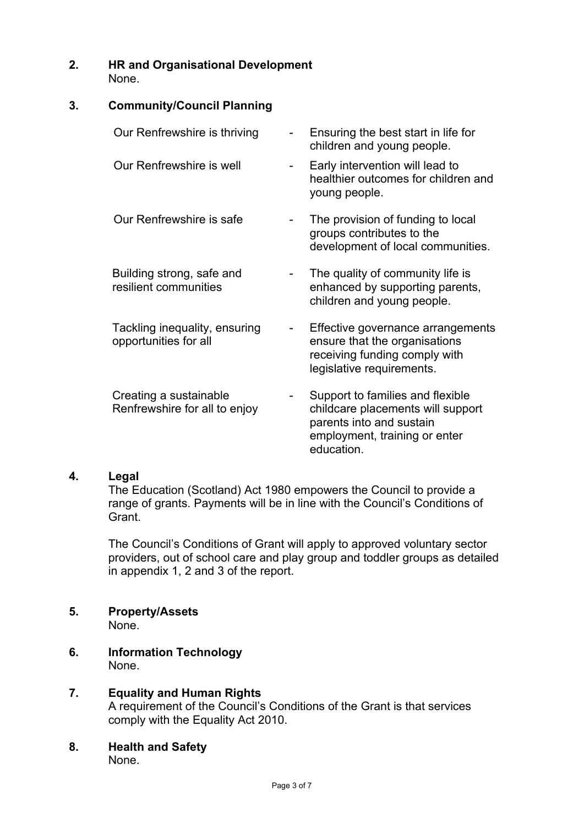**2. HR and Organisational Development**  None.

#### **3. Community/Council Planning**

| Our Renfrewshire is thriving                            | Ensuring the best start in life for<br>children and young people.                                                                                |
|---------------------------------------------------------|--------------------------------------------------------------------------------------------------------------------------------------------------|
| Our Renfrewshire is well                                | Early intervention will lead to<br>healthier outcomes for children and<br>young people.                                                          |
| Our Renfrewshire is safe                                | The provision of funding to local<br>groups contributes to the<br>development of local communities.                                              |
| Building strong, safe and<br>resilient communities      | The quality of community life is<br>enhanced by supporting parents,<br>children and young people.                                                |
| Tackling inequality, ensuring<br>opportunities for all  | Effective governance arrangements<br>ensure that the organisations<br>receiving funding comply with<br>legislative requirements.                 |
| Creating a sustainable<br>Renfrewshire for all to enjoy | Support to families and flexible<br>childcare placements will support<br>parents into and sustain<br>employment, training or enter<br>education. |

#### **4. Legal**

The Education (Scotland) Act 1980 empowers the Council to provide a range of grants. Payments will be in line with the Council's Conditions of Grant.

The Council's Conditions of Grant will apply to approved voluntary sector providers, out of school care and play group and toddler groups as detailed in appendix 1, 2 and 3 of the report.

#### **5. Property/Assets**

None.

- **6. Information Technology**  None.
- **7. Equality and Human Rights**  A requirement of the Council's Conditions of the Grant is that services comply with the Equality Act 2010.
- **8. Health and Safety**  None.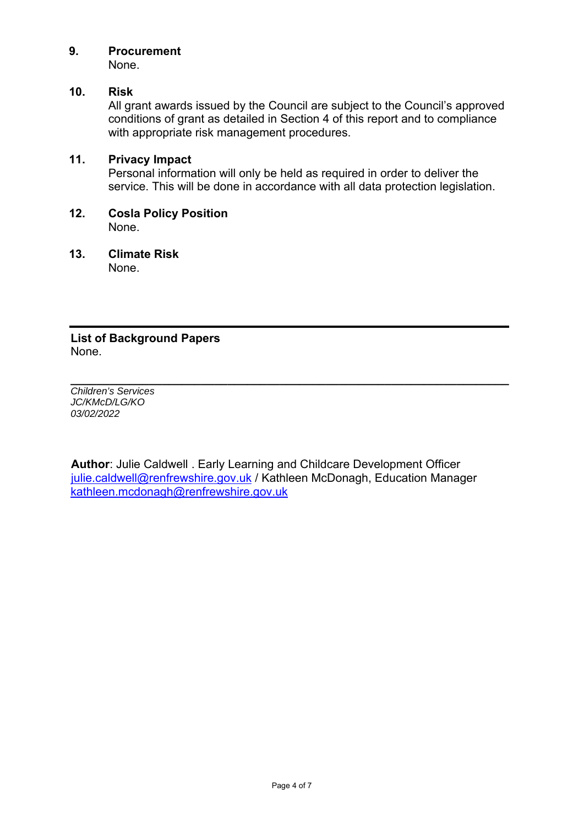## **9. Procurement**

None.

## **10. Risk**

All grant awards issued by the Council are subject to the Council's approved conditions of grant as detailed in Section 4 of this report and to compliance with appropriate risk management procedures.

### **11. Privacy Impact**

Personal information will only be held as required in order to deliver the service. This will be done in accordance with all data protection legislation.

**12. Cosla Policy Position**  None.

#### **13. Climate Risk**  None.

**List of Background Papers**  None.

*Children's Services JC/KMcD/LG/KO 03/02/2022* 

**Author**: Julie Caldwell . Early Learning and Childcare Development Officer julie.caldwell@renfrewshire.gov.uk / Kathleen McDonagh, Education Manager kathleen.mcdonagh@renfrewshire.gov.uk

**\_\_\_\_\_\_\_\_\_\_\_\_\_\_\_\_\_\_\_\_\_\_\_\_\_\_\_\_\_\_\_\_\_\_\_\_\_\_\_\_\_\_\_\_\_\_\_\_\_\_\_\_\_\_\_\_\_\_\_\_\_\_\_\_\_\_\_**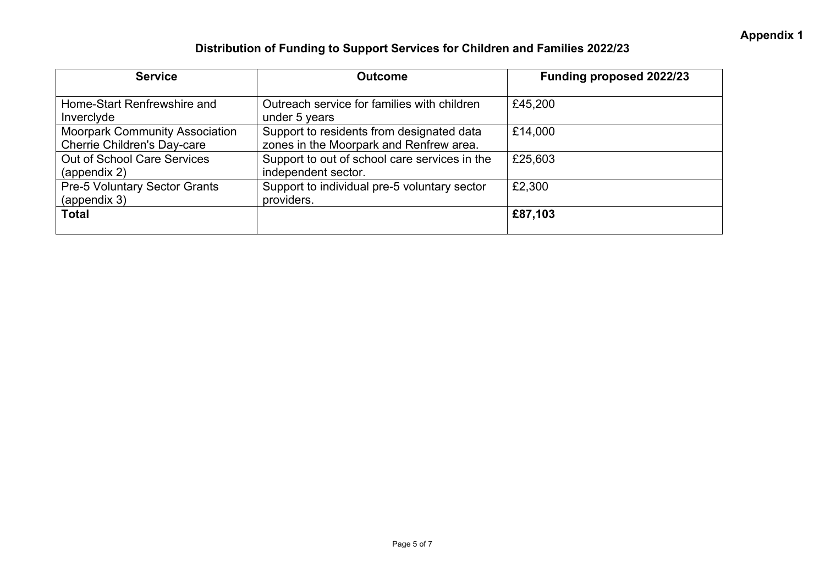# **Distribution of Funding to Support Services for Children and Families 2022/23**

| <b>Service</b>                                                              | <b>Outcome</b>                                                                       | Funding proposed 2022/23 |  |  |  |  |
|-----------------------------------------------------------------------------|--------------------------------------------------------------------------------------|--------------------------|--|--|--|--|
| Home-Start Renfrewshire and<br>Invercivde                                   | Outreach service for families with children<br>under 5 years                         | £45,200                  |  |  |  |  |
| <b>Moorpark Community Association</b><br><b>Cherrie Children's Day-care</b> | Support to residents from designated data<br>zones in the Moorpark and Renfrew area. | £14,000                  |  |  |  |  |
| <b>Out of School Care Services</b><br>(appendix 2)                          | Support to out of school care services in the<br>independent sector.                 | £25,603                  |  |  |  |  |
| <b>Pre-5 Voluntary Sector Grants</b><br>(appendix 3)                        | Support to individual pre-5 voluntary sector<br>providers.                           | £2,300                   |  |  |  |  |
| <b>Total</b>                                                                |                                                                                      | £87,103                  |  |  |  |  |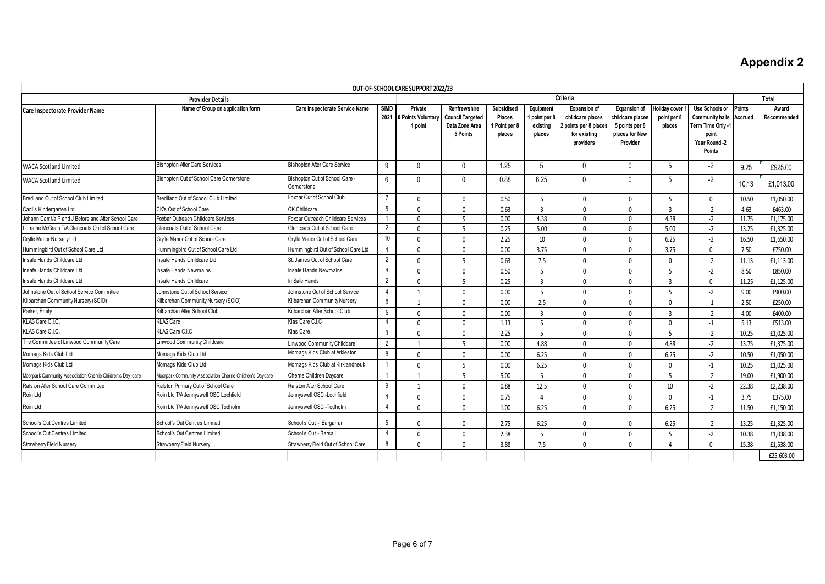# **Appendix 2**

| OUT-OF-SCHOOL CARE SUPPORT 2022/23                         |                                                           |                                             |                     |                                          |                                                                       |                                                      |                                                  |                                                                                               |                                                                                         |                                               |                                                                                                   |                          |                      |
|------------------------------------------------------------|-----------------------------------------------------------|---------------------------------------------|---------------------|------------------------------------------|-----------------------------------------------------------------------|------------------------------------------------------|--------------------------------------------------|-----------------------------------------------------------------------------------------------|-----------------------------------------------------------------------------------------|-----------------------------------------------|---------------------------------------------------------------------------------------------------|--------------------------|----------------------|
| Criteria<br><b>Provider Details</b>                        |                                                           |                                             |                     |                                          |                                                                       |                                                      |                                                  |                                                                                               | Total                                                                                   |                                               |                                                                                                   |                          |                      |
| Care Inspectorate Provider Name                            | Name of Group on application form                         | Care Inspectorate Service Name              | <b>SIMD</b><br>2021 | Private<br>0 Points Voluntary<br>1 point | Renfrewshire<br><b>Council Targeted</b><br>Data Zone Area<br>5 Points | Subsidised<br><b>Places</b><br>Point per 8<br>places | Equipment<br>I point per 8<br>existina<br>places | <b>Expansion of</b><br>childcare places<br>2 points per 8 places<br>for existing<br>providers | <b>Expansion of</b><br>childcare places<br>5 points per 8<br>places for New<br>Provider | <b>Holiday cover</b><br>point per 8<br>places | Use Schools or<br><b>Community halls</b><br>Term Time Only -1<br>point<br>Year Round -2<br>Points | <b>Points</b><br>Accrued | Award<br>Recommended |
| <b>WACA Scotland Limited</b>                               | <b>Bishopton After Care Services</b>                      | <b>Bishopton After Care Service</b>         | 9                   | $\Omega$                                 | $\mathbf{0}$                                                          | 1.25                                                 | 5                                                | $\Omega$                                                                                      | $\mathbf{0}$                                                                            | 5                                             | -2                                                                                                | 9.25                     | £925.00              |
| WACA Scotland Limited                                      | Bishopton Out of School Care Cornerstone                  | Bishopton Out of School Care<br>Cornerstone | 6                   |                                          | $\mathbf{0}$                                                          | 0.88                                                 | 6.25                                             | <sup>0</sup>                                                                                  | $\mathbf{0}$                                                                            | $\overline{5}$                                | -2                                                                                                | 10.13                    | £1,013.00            |
| Brediland Out of School Club Limited                       | Brediland Out of School Club Limited                      | Foxbar Out of School Club                   | $\overline{7}$      | <sup>n</sup>                             | $\Omega$                                                              | 0.50                                                 | 5                                                | $\Omega$                                                                                      | $\mathbf{0}$                                                                            | 5                                             | $\mathbf{0}$                                                                                      | 10.50                    | £1.050.00            |
| Carli's Kindergarten Ltd                                   | CK's Out of School Care                                   | <b>CK Childcare</b>                         | 5                   | $\Omega$                                 | $\mathbf{0}$                                                          | 0.63                                                 | 3                                                | $\cap$                                                                                        | $\mathbf{0}$                                                                            | $\overline{3}$                                | $-2$                                                                                              | 4.63                     | £463.00              |
| Johann Carr t/a P and J Before and After School Care       | Foxbar Outreach Childcare Services                        | Foxbar Outreach Childcare Services          |                     | $\Omega$                                 | 5                                                                     | 0.00                                                 | 4.38                                             | $\Omega$                                                                                      | $\mathbf 0$                                                                             | 4.38                                          | $-2$                                                                                              | 11.75                    | £1,175.00            |
| Lorraine McGrath T/A Glencoats Out of School Care          | Glencoats Out of School Care                              | Glencoats Out of School Care                | $\overline{2}$      | $\Omega$                                 | 5                                                                     | 0.25                                                 | 5.00                                             | $\Omega$                                                                                      | $\mathbf{0}$                                                                            | 5.00                                          | $-2$                                                                                              | 13.25                    | £1,325.00            |
| Gryffe Manor Nursery Ltd                                   | Gryffe Manor Out of School Care                           | Gryffe Manor Out of School Care             | 10                  | <sup>0</sup>                             | $\mathbf{0}$                                                          | 2.25                                                 | 10                                               | $\mathsf{U}$                                                                                  | $\mathbf{0}$                                                                            | 6.25                                          | $-2$                                                                                              | 16.50                    | £1,650.00            |
| Hummingbird Out of School Care Ltd                         | Hummingbird Out of School Care Ltd                        | Hummingbird Out of School Care Ltd          | $\overline{4}$      | $\Omega$                                 | $\mathbf{0}$                                                          | 0.00                                                 | 3.75                                             | $\Omega$                                                                                      | $\mathbf 0$                                                                             | 3.75                                          | $\mathbf{0}$                                                                                      | 7.50                     | £750.00              |
| Insafe Hands Childcare Ltd                                 | Insafe Hands Childcare Ltd                                | St. James Out of School Care                | $\overline{2}$      | U                                        | $\overline{5}$                                                        | 0.63                                                 | 7.5                                              | $\Omega$                                                                                      | $\mathbf{0}$                                                                            | $\Omega$                                      | $-2$                                                                                              | 11.13                    | £1.113.00            |
| Insafe Hands Childcare Ltd                                 | <b>Insafe Hands Newmains</b>                              | Insafe Hands Newmains                       | $\overline{4}$      | $\Omega$                                 | $\mathbf{0}$                                                          | 0.50                                                 | 5                                                | $\Omega$                                                                                      | $\mathbf 0$                                                                             | $\overline{5}$                                | $-2$                                                                                              | 8.50                     | £850.00              |
| Insafe Hands Childcare Ltd                                 | Insafe Hands Childcare                                    | In Safe Hands                               | $\overline{2}$      | <sup>0</sup>                             | 5                                                                     | 0.25                                                 | 3                                                | $\Omega$                                                                                      | $\mathbf 0$                                                                             | $\overline{3}$                                | $\mathbf{0}$                                                                                      | 11.25                    | £1,125.00            |
| Johnstone Out of School Service Committee                  | Johnstone Out of School Service                           | Johnstone Out of School Service             | $\overline{4}$      |                                          | 0                                                                     | 0.00                                                 | 5                                                | $\Omega$                                                                                      | $\mathbf{0}$                                                                            | 5                                             | $-2$                                                                                              | 9.00                     | £900.00              |
| Kilbarchan Community Nursery (SCIO)                        | Kilbarchan Community Nursery (SCIO)                       | Kilbarchan Community Nursery                | $6\,$               |                                          | $\mathbf{0}$                                                          | 0.00                                                 | 2.5                                              | $\Omega$                                                                                      | 0                                                                                       | $\Omega$                                      | $-1$                                                                                              | 2.50                     | £250.00              |
| Parker, Emily                                              | Kilbarchan After School Club                              | Kilbarchan After School Club                | $5\phantom{.0}$     | $\Omega$                                 | $\mathbf{0}$                                                          | 0.00                                                 | 3                                                | $\Omega$                                                                                      | $\mathbf{0}$                                                                            | $\overline{3}$                                | $-2$                                                                                              | 4.00                     | £400.00              |
| KLAS Care C.I.C.                                           | <b>KLAS Care</b>                                          | Klas Care C.I.C                             | $\overline{4}$      | $\Omega$                                 | $\mathbf{0}$                                                          | 1.13                                                 | -5                                               | $\mathbf{0}$                                                                                  | $\mathbf{0}$                                                                            | $\mathbf{0}$                                  | $-1$                                                                                              | 5.13                     | £513.00              |
| KLAS Care C.I.C.                                           | KLAS Care C.i.C                                           | Klas Care                                   | $\mathbf{3}$        | $\Omega$                                 | $\mathbf{0}$                                                          | 2.25                                                 | $\overline{5}$                                   | $\Omega$                                                                                      | $\mathbf 0$                                                                             | $\overline{5}$                                | $-2$                                                                                              | 10.25                    | £1,025.00            |
| The Committee of Linwood Community Care                    | inwood Community Childcare                                | Linwood Community Childcare                 | $\overline{2}$      |                                          | 5                                                                     | 0.00                                                 | 4.88                                             | $\Omega$                                                                                      | 0                                                                                       | 4.88                                          | $-2$                                                                                              | 13.75                    | £1.375.00            |
| Momags Kids Club Ltd                                       | Momags Kids Club Ltd                                      | Momags Kids Club at Arkleston               | 8                   | $\Omega$                                 | $\Omega$                                                              | 0.00                                                 | 6.25                                             | $\Omega$                                                                                      | $\mathbf{0}$                                                                            | 6.25                                          | $-2$                                                                                              | 10.50                    | £1,050.00            |
| Momags Kids Club Ltd                                       | Momags Kids Club Ltd                                      | Momags Kids Club at Kirklandneuk            |                     | <sup>0</sup>                             | 5                                                                     | 0.00                                                 | 6.25                                             | $\Omega$                                                                                      | 0                                                                                       | $\Omega$                                      | $-1$                                                                                              | 10.25                    | £1,025.00            |
| Moorpark Community Association Cherrie Children's Day-care | Moorpark Community Association Cherrie Children's Davcare | Cherrie Children Davcare                    |                     |                                          | $\overline{5}$                                                        | 5.00                                                 | 5                                                | $\Omega$                                                                                      | $\mathbf{0}$                                                                            | $\overline{5}$                                | $-2$                                                                                              | 19.00                    | £1,900.00            |
| Ralston After School Care Committee                        | Ralston Primary Out of School Care                        | Ralston After School Care                   | 9                   |                                          | $\mathbf{0}$                                                          | 0.88                                                 | 12.5                                             | $\mathsf{U}$                                                                                  | $\mathbf{0}$                                                                            | 10                                            | $-2$                                                                                              | 22.38                    | £2,238.00            |
| Roin Ltd                                                   | Roin Ltd T/A Jennyswell OSC Lochfield                     | Jennyswell OSC -Lochfield                   | $\overline{4}$      | <sup>n</sup>                             | $\mathbf{0}$                                                          | 0.75                                                 | $\Delta$                                         | <sup>0</sup>                                                                                  | $\mathbf{0}$                                                                            | $\mathbf{0}$                                  | $-1$                                                                                              | 3.75                     | £375.00              |
| Roin Ltd                                                   | Roin Ltd T/A Jennyswell OSC Todholm                       | Jennyswell OSC -Todholm                     | $\overline{4}$      | $\Omega$                                 | $\Omega$                                                              | 1.00                                                 | 6.25                                             | $\Omega$                                                                                      | $\mathbf{0}$                                                                            | 6.25                                          | $-2$                                                                                              | 11.50                    | £1,150.00            |
| School's Out Centres Limited                               | School's Out Centres Limited                              | School's Out' - Bargarran                   | 5                   | 0                                        | $\mathbf{0}$                                                          | 2.75                                                 | 6.25                                             | $\Omega$                                                                                      | $\mathbf{0}$                                                                            | 6.25                                          | $-2$                                                                                              | 13.25                    | £1.325.00            |
| School's Out Centres Limited                               | School's Out Centres Limited                              | School's Out' - Barsail                     | 4                   | $\Omega$                                 | $\mathbf{0}$                                                          | 2.38                                                 | 5                                                | $\Omega$                                                                                      | $\mathbf{0}$                                                                            |                                               | $-2$                                                                                              | 10.38                    | £1,038.00            |
| <b>Strawberry Field Nursery</b>                            | Strawberry Field Nursery                                  | Strawberry Field Out of School Care         | 8                   | 0                                        | $\mathbf{0}$                                                          | 3.88                                                 | 7.5                                              | $\mathbf{0}$                                                                                  | $\mathbf{0}$                                                                            | $\Delta$                                      | $\mathbf{0}$                                                                                      | 15.38                    | £1,538.00            |
|                                                            |                                                           |                                             |                     |                                          |                                                                       |                                                      |                                                  |                                                                                               |                                                                                         |                                               |                                                                                                   |                          | £25,603.00           |